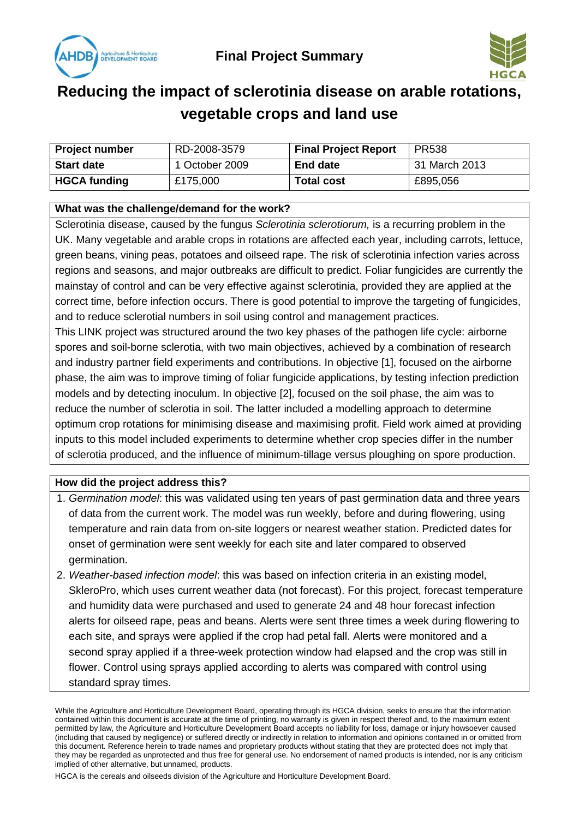



# **Reducing the impact of sclerotinia disease on arable rotations, vegetable crops and land use**

| <b>Project number</b> | RD-2008-3579   | <b>Final Project Report</b> | <b>PR538</b>  |
|-----------------------|----------------|-----------------------------|---------------|
| <b>Start date</b>     | 1 October 2009 | <b>End date</b>             | 31 March 2013 |
| <b>HGCA funding</b>   | £175,000       | <b>Total cost</b>           | £895,056      |

### **What was the challenge/demand for the work?**

Sclerotinia disease, caused by the fungus *Sclerotinia sclerotiorum,* is a recurring problem in the UK. Many vegetable and arable crops in rotations are affected each year, including carrots, lettuce, green beans, vining peas, potatoes and oilseed rape. The risk of sclerotinia infection varies across regions and seasons, and major outbreaks are difficult to predict. Foliar fungicides are currently the mainstay of control and can be very effective against sclerotinia, provided they are applied at the correct time, before infection occurs. There is good potential to improve the targeting of fungicides, and to reduce sclerotial numbers in soil using control and management practices.

This LINK project was structured around the two key phases of the pathogen life cycle: airborne spores and soil-borne sclerotia, with two main objectives, achieved by a combination of research and industry partner field experiments and contributions. In objective [1], focused on the airborne phase, the aim was to improve timing of foliar fungicide applications, by testing infection prediction models and by detecting inoculum. In objective [2], focused on the soil phase, the aim was to reduce the number of sclerotia in soil. The latter included a modelling approach to determine optimum crop rotations for minimising disease and maximising profit. Field work aimed at providing inputs to this model included experiments to determine whether crop species differ in the number of sclerotia produced, and the influence of minimum-tillage versus ploughing on spore production.

### **How did the project address this?**

- 1. *Germination model*: this was validated using ten years of past germination data and three years of data from the current work. The model was run weekly, before and during flowering, using temperature and rain data from on-site loggers or nearest weather station. Predicted dates for onset of germination were sent weekly for each site and later compared to observed germination.
- 2. *Weather-based infection model*: this was based on infection criteria in an existing model, SkleroPro, which uses current weather data (not forecast). For this project, forecast temperature and humidity data were purchased and used to generate 24 and 48 hour forecast infection alerts for oilseed rape, peas and beans. Alerts were sent three times a week during flowering to each site, and sprays were applied if the crop had petal fall. Alerts were monitored and a second spray applied if a three-week protection window had elapsed and the crop was still in flower. Control using sprays applied according to alerts was compared with control using standard spray times.

While the Agriculture and Horticulture Development Board, operating through its HGCA division, seeks to ensure that the information contained within this document is accurate at the time of printing, no warranty is given in respect thereof and, to the maximum extent permitted by law, the Agriculture and Horticulture Development Board accepts no liability for loss, damage or injury howsoever caused (including that caused by negligence) or suffered directly or indirectly in relation to information and opinions contained in or omitted from this document. Reference herein to trade names and proprietary products without stating that they are protected does not imply that they may be regarded as unprotected and thus free for general use. No endorsement of named products is intended, nor is any criticism implied of other alternative, but unnamed, products.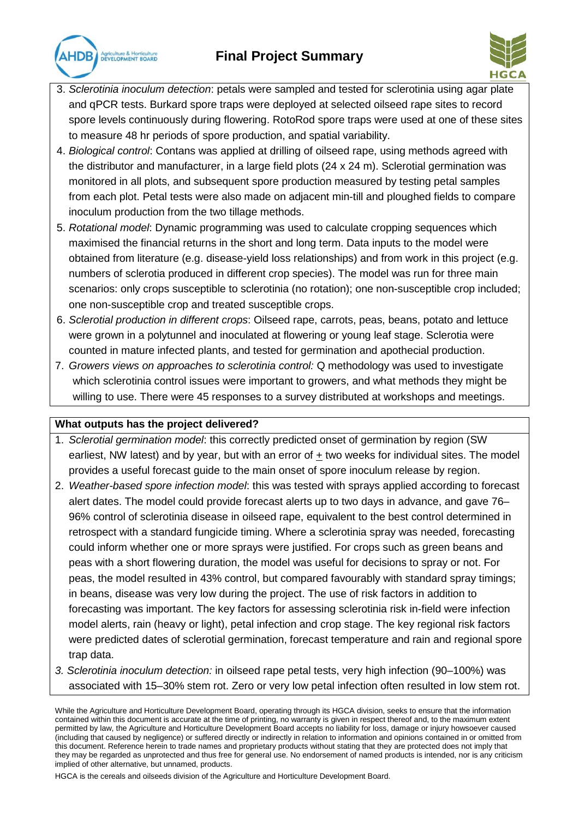### **Final Project Summary**





- 3. *Sclerotinia inoculum detection*: petals were sampled and tested for sclerotinia using agar plate and qPCR tests. Burkard spore traps were deployed at selected oilseed rape sites to record spore levels continuously during flowering. RotoRod spore traps were used at one of these sites to measure 48 hr periods of spore production, and spatial variability.
- 4. *Biological control*: Contans was applied at drilling of oilseed rape, using methods agreed with the distributor and manufacturer, in a large field plots (24 x 24 m). Sclerotial germination was monitored in all plots, and subsequent spore production measured by testing petal samples from each plot. Petal tests were also made on adjacent min-till and ploughed fields to compare inoculum production from the two tillage methods.
- 5. *Rotational model*: Dynamic programming was used to calculate cropping sequences which maximised the financial returns in the short and long term. Data inputs to the model were obtained from literature (e.g. disease-yield loss relationships) and from work in this project (e.g. numbers of sclerotia produced in different crop species). The model was run for three main scenarios: only crops susceptible to sclerotinia (no rotation); one non-susceptible crop included; one non-susceptible crop and treated susceptible crops.
- 6. *Sclerotial production in different crops*: Oilseed rape, carrots, peas, beans, potato and lettuce were grown in a polytunnel and inoculated at flowering or young leaf stage. Sclerotia were counted in mature infected plants, and tested for germination and apothecial production.
- 7. *Growers views on approach*es *to sclerotinia control:* Q methodology was used to investigate which sclerotinia control issues were important to growers, and what methods they might be willing to use. There were 45 responses to a survey distributed at workshops and meetings.

### **What outputs has the project delivered?**

- 1. *Sclerotial germination model*: this correctly predicted onset of germination by region (SW earliest, NW latest) and by year, but with an error of + two weeks for individual sites. The model provides a useful forecast guide to the main onset of spore inoculum release by region.
- 2. *Weather-based spore infection model*: this was tested with sprays applied according to forecast alert dates. The model could provide forecast alerts up to two days in advance, and gave 76– 96% control of sclerotinia disease in oilseed rape, equivalent to the best control determined in retrospect with a standard fungicide timing. Where a sclerotinia spray was needed, forecasting could inform whether one or more sprays were justified. For crops such as green beans and peas with a short flowering duration, the model was useful for decisions to spray or not. For peas, the model resulted in 43% control, but compared favourably with standard spray timings; in beans, disease was very low during the project. The use of risk factors in addition to forecasting was important. The key factors for assessing sclerotinia risk in-field were infection model alerts, rain (heavy or light), petal infection and crop stage. The key regional risk factors were predicted dates of sclerotial germination, forecast temperature and rain and regional spore trap data.
- *3. Sclerotinia inoculum detection:* in oilseed rape petal tests, very high infection (90–100%) was associated with 15–30% stem rot. Zero or very low petal infection often resulted in low stem rot.

While the Agriculture and Horticulture Development Board, operating through its HGCA division, seeks to ensure that the information contained within this document is accurate at the time of printing, no warranty is given in respect thereof and, to the maximum extent permitted by law, the Agriculture and Horticulture Development Board accepts no liability for loss, damage or injury howsoever caused (including that caused by negligence) or suffered directly or indirectly in relation to information and opinions contained in or omitted from this document. Reference herein to trade names and proprietary products without stating that they are protected does not imply that they may be regarded as unprotected and thus free for general use. No endorsement of named products is intended, nor is any criticism implied of other alternative, but unnamed, products.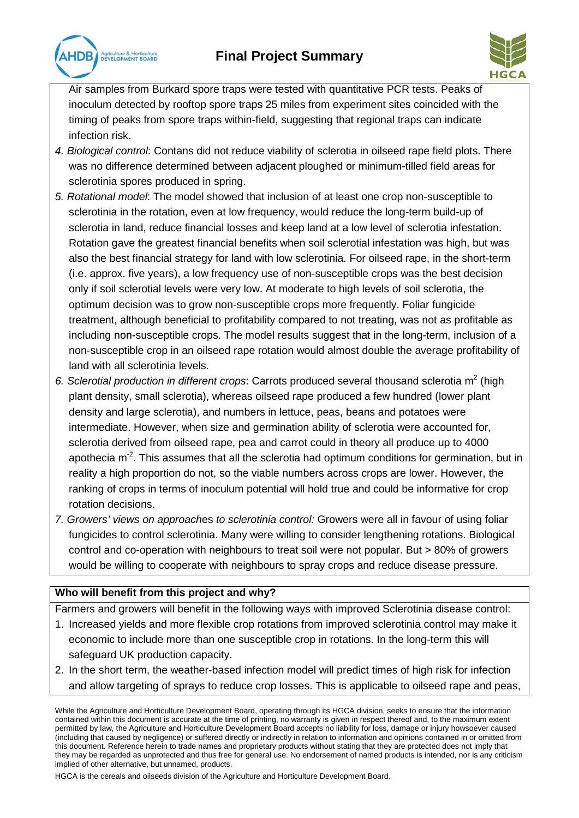## **Final Project Summary**





Air samples from Burkard spore traps were tested with quantitative PCR tests. Peaks of inoculum detected by rooftop spore traps 25 miles from experiment sites coincided with the timing of peaks from spore traps within-field, suggesting that regional traps can indicate infection risk.

- *4. Biological control*: Contans did not reduce viability of sclerotia in oilseed rape field plots. There was no difference determined between adjacent ploughed or minimum-tilled field areas for sclerotinia spores produced in spring.
- *5. Rotational model*: The model showed that inclusion of at least one crop non-susceptible to sclerotinia in the rotation, even at low frequency, would reduce the long-term build-up of sclerotia in land, reduce financial losses and keep land at a low level of sclerotia infestation. Rotation gave the greatest financial benefits when soil sclerotial infestation was high, but was also the best financial strategy for land with low sclerotinia. For oilseed rape, in the short-term (i.e. approx. five years), a low frequency use of non-susceptible crops was the best decision only if soil sclerotial levels were very low. At moderate to high levels of soil sclerotia, the optimum decision was to grow non-susceptible crops more frequently. Foliar fungicide treatment, although beneficial to profitability compared to not treating, was not as profitable as including non-susceptible crops. The model results suggest that in the long-term, inclusion of a non-susceptible crop in an oilseed rape rotation would almost double the average profitability of land with all sclerotinia levels.
- 6. Sclerotial production in different crops: Carrots produced several thousand sclerotia m<sup>2</sup> (high plant density, small sclerotia), whereas oilseed rape produced a few hundred (lower plant density and large sclerotia), and numbers in lettuce, peas, beans and potatoes were intermediate. However, when size and germination ability of sclerotia were accounted for, sclerotia derived from oilseed rape, pea and carrot could in theory all produce up to 4000 apothecia m<sup>-2</sup>. This assumes that all the sclerotia had optimum conditions for germination, but in reality a high proportion do not, so the viable numbers across crops are lower. However, the ranking of crops in terms of inoculum potential will hold true and could be informative for crop rotation decisions.
- *7. Growers' views on approach*es *to sclerotinia control:* Growers were all in favour of using foliar fungicides to control sclerotinia. Many were willing to consider lengthening rotations. Biological control and co-operation with neighbours to treat soil were not popular. But > 80% of growers would be willing to cooperate with neighbours to spray crops and reduce disease pressure.

### **Who will benefit from this project and why?**

Farmers and growers will benefit in the following ways with improved Sclerotinia disease control:

- 1. Increased yields and more flexible crop rotations from improved sclerotinia control may make it economic to include more than one susceptible crop in rotations. In the long-term this will safeguard UK production capacity.
- 2. In the short term, the weather-based infection model will predict times of high risk for infection and allow targeting of sprays to reduce crop losses. This is applicable to oilseed rape and peas,

While the Agriculture and Horticulture Development Board, operating through its HGCA division, seeks to ensure that the information contained within this document is accurate at the time of printing, no warranty is given in respect thereof and, to the maximum extent permitted by law, the Agriculture and Horticulture Development Board accepts no liability for loss, damage or injury howsoever caused (including that caused by negligence) or suffered directly or indirectly in relation to information and opinions contained in or omitted from this document. Reference herein to trade names and proprietary products without stating that they are protected does not imply that they may be regarded as unprotected and thus free for general use. No endorsement of named products is intended, nor is any criticism implied of other alternative, but unnamed, products.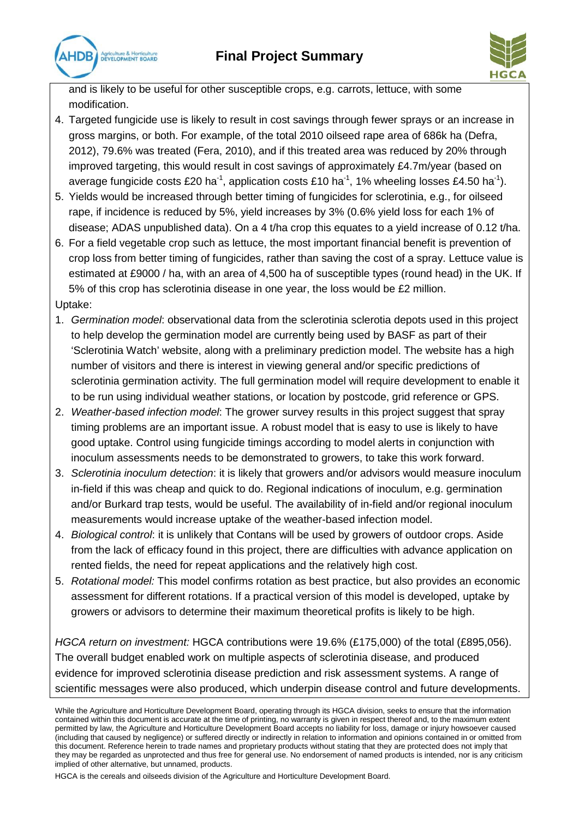



and is likely to be useful for other susceptible crops, e.g. carrots, lettuce, with some modification.

- 4. Targeted fungicide use is likely to result in cost savings through fewer sprays or an increase in gross margins, or both. For example, of the total 2010 oilseed rape area of 686k ha (Defra, 2012), 79.6% was treated (Fera, 2010), and if this treated area was reduced by 20% through improved targeting, this would result in cost savings of approximately £4.7m/year (based on average fungicide costs £20 ha<sup>-1</sup>, application costs £10 ha<sup>-1</sup>, 1% wheeling losses £4.50 ha<sup>-1</sup>).
- 5. Yields would be increased through better timing of fungicides for sclerotinia, e.g., for oilseed rape, if incidence is reduced by 5%, yield increases by 3% (0.6% yield loss for each 1% of disease; ADAS unpublished data). On a 4 t/ha crop this equates to a yield increase of 0.12 t/ha.
- 6. For a field vegetable crop such as lettuce, the most important financial benefit is prevention of crop loss from better timing of fungicides, rather than saving the cost of a spray. Lettuce value is estimated at £9000 / ha, with an area of 4,500 ha of susceptible types (round head) in the UK. If 5% of this crop has sclerotinia disease in one year, the loss would be £2 million.

Uptake:

- 1. *Germination model*: observational data from the sclerotinia sclerotia depots used in this project to help develop the germination model are currently being used by BASF as part of their 'Sclerotinia Watch' website, along with a preliminary prediction model. The website has a high number of visitors and there is interest in viewing general and/or specific predictions of sclerotinia germination activity. The full germination model will require development to enable it to be run using individual weather stations, or location by postcode, grid reference or GPS.
- 2. *Weather-based infection model*: The grower survey results in this project suggest that spray timing problems are an important issue. A robust model that is easy to use is likely to have good uptake. Control using fungicide timings according to model alerts in conjunction with inoculum assessments needs to be demonstrated to growers, to take this work forward.
- 3. *Sclerotinia inoculum detection*: it is likely that growers and/or advisors would measure inoculum in-field if this was cheap and quick to do. Regional indications of inoculum, e.g. germination and/or Burkard trap tests, would be useful. The availability of in-field and/or regional inoculum measurements would increase uptake of the weather-based infection model.
- 4. *Biological control*: it is unlikely that Contans will be used by growers of outdoor crops. Aside from the lack of efficacy found in this project, there are difficulties with advance application on rented fields, the need for repeat applications and the relatively high cost.
- 5. *Rotational model:* This model confirms rotation as best practice, but also provides an economic assessment for different rotations. If a practical version of this model is developed, uptake by growers or advisors to determine their maximum theoretical profits is likely to be high.

*HGCA return on investment:* HGCA contributions were 19.6% (£175,000) of the total (£895,056). The overall budget enabled work on multiple aspects of sclerotinia disease, and produced evidence for improved sclerotinia disease prediction and risk assessment systems. A range of scientific messages were also produced, which underpin disease control and future developments.

While the Agriculture and Horticulture Development Board, operating through its HGCA division, seeks to ensure that the information contained within this document is accurate at the time of printing, no warranty is given in respect thereof and, to the maximum extent permitted by law, the Agriculture and Horticulture Development Board accepts no liability for loss, damage or injury howsoever caused (including that caused by negligence) or suffered directly or indirectly in relation to information and opinions contained in or omitted from this document. Reference herein to trade names and proprietary products without stating that they are protected does not imply that they may be regarded as unprotected and thus free for general use. No endorsement of named products is intended, nor is any criticism implied of other alternative, but unnamed, products.